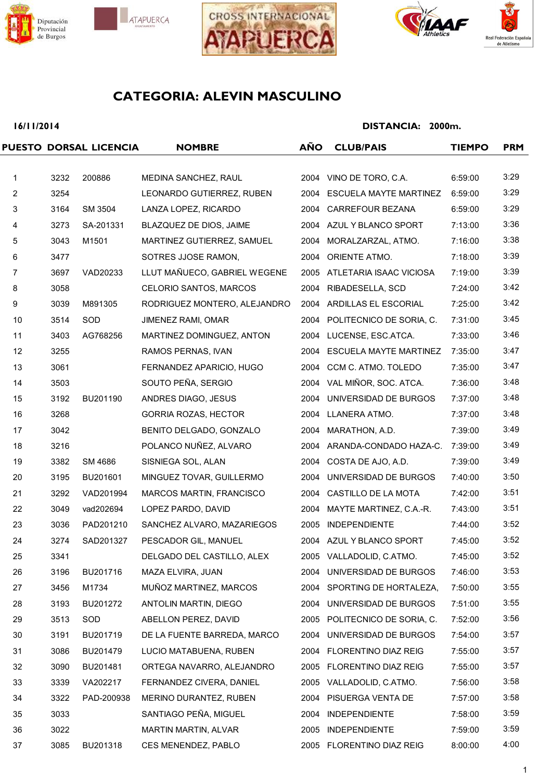







## **16/11/2014**

|                |      | PUESTO DORSAL LICENCIA | <b>NOMBRE</b>                | AÑO  | <b>CLUB/PAIS</b>              | <b>TIEMPO</b> | <b>PRM</b> |
|----------------|------|------------------------|------------------------------|------|-------------------------------|---------------|------------|
|                |      |                        |                              |      |                               |               |            |
| $\mathbf{1}$   | 3232 | 200886                 | MEDINA SANCHEZ, RAUL         |      | 2004 VINO DE TORO, C.A.       | 6:59:00       | 3:29       |
| $\overline{2}$ | 3254 |                        | LEONARDO GUTIERREZ, RUBEN    |      | 2004 ESCUELA MAYTE MARTINEZ   | 6:59:00       | 3:29       |
| 3              | 3164 | SM 3504                | LANZA LOPEZ, RICARDO         |      | 2004 CARREFOUR BEZANA         | 6:59:00       | 3:29       |
| 4              | 3273 | SA-201331              | BLAZQUEZ DE DIOS, JAIME      |      | 2004 AZUL Y BLANCO SPORT      | 7:13:00       | 3:36       |
| 5              | 3043 | M1501                  | MARTINEZ GUTIERREZ, SAMUEL   |      | 2004 MORALZARZAL, ATMO.       | 7:16:00       | 3:38       |
| 6              | 3477 |                        | SOTRES JJOSE RAMON,          | 2004 | ORIENTE ATMO.                 | 7:18:00       | 3:39       |
| $\overline{7}$ | 3697 | VAD20233               | LLUT MAÑUECO, GABRIEL WEGENE |      | 2005 ATLETARIA ISAAC VICIOSA  | 7:19:00       | 3:39       |
| 8              | 3058 |                        | CELORIO SANTOS, MARCOS       | 2004 | RIBADESELLA, SCD              | 7:24:00       | 3:42       |
| 9              | 3039 | M891305                | RODRIGUEZ MONTERO, ALEJANDRO |      | 2004 ARDILLAS EL ESCORIAL     | 7:25:00       | 3:42       |
| 10             | 3514 | SOD                    | <b>JIMENEZ RAMI, OMAR</b>    |      | 2004 POLITECNICO DE SORIA, C. | 7:31:00       | 3:45       |
| 11             | 3403 | AG768256               | MARTINEZ DOMINGUEZ, ANTON    |      | 2004 LUCENSE, ESC.ATCA.       | 7:33:00       | 3:46       |
| 12             | 3255 |                        | RAMOS PERNAS, IVAN           |      | 2004 ESCUELA MAYTE MARTINEZ   | 7:35:00       | 3:47       |
| 13             | 3061 |                        | FERNANDEZ APARICIO, HUGO     | 2004 | CCM C. ATMO. TOLEDO           | 7:35:00       | 3:47       |
| 14             | 3503 |                        | SOUTO PEÑA, SERGIO           |      | 2004 VAL MIÑOR, SOC. ATCA.    | 7:36:00       | 3:48       |
| 15             | 3192 | BU201190               | ANDRES DIAGO, JESUS          |      | 2004 UNIVERSIDAD DE BURGOS    | 7:37:00       | 3:48       |
| 16             | 3268 |                        | <b>GORRIA ROZAS, HECTOR</b>  |      | 2004 LLANERA ATMO.            | 7:37:00       | 3:48       |
| 17             | 3042 |                        | BENITO DELGADO, GONZALO      |      | 2004 MARATHON, A.D.           | 7:39:00       | 3:49       |
| 18             | 3216 |                        | POLANCO NUÑEZ, ALVARO        |      | 2004 ARANDA-CONDADO HAZA-C.   | 7:39:00       | 3:49       |
| 19             | 3382 | SM 4686                | SISNIEGA SOL, ALAN           |      | 2004 COSTA DE AJO, A.D.       | 7:39:00       | 3:49       |
| 20             | 3195 | BU201601               | MINGUEZ TOVAR, GUILLERMO     |      | 2004 UNIVERSIDAD DE BURGOS    | 7:40:00       | 3:50       |
| 21             | 3292 | VAD201994              | MARCOS MARTIN, FRANCISCO     |      | 2004 CASTILLO DE LA MOTA      | 7:42:00       | 3:51       |
| 22             | 3049 | vad202694              | LOPEZ PARDO, DAVID           | 2004 | MAYTE MARTINEZ, C.A.-R.       | 7:43:00       | 3:51       |
| 23             | 3036 | PAD201210              | SANCHEZ ALVARO, MAZARIEGOS   | 2005 | <b>INDEPENDIENTE</b>          | 7:44:00       | 3:52       |
| 24             | 3274 | SAD201327              | PESCADOR GIL, MANUEL         |      | 2004 AZUL Y BLANCO SPORT      | 7:45:00       | 3:52       |
| 25             | 3341 |                        | DELGADO DEL CASTILLO, ALEX   |      | 2005 VALLADOLID, C.ATMO.      | 7:45:00       | 3:52       |
| 26             | 3196 | BU201716               | MAZA ELVIRA, JUAN            |      | 2004 UNIVERSIDAD DE BURGOS    | 7:46:00       | 3:53       |
| 27             | 3456 | M1734                  | MUÑOZ MARTINEZ, MARCOS       |      | 2004 SPORTING DE HORTALEZA,   | 7:50:00       | 3:55       |
| 28             | 3193 | BU201272               | ANTOLIN MARTIN, DIEGO        |      | 2004 UNIVERSIDAD DE BURGOS    | 7:51:00       | 3:55       |
| 29             | 3513 | SOD                    | ABELLON PEREZ, DAVID         |      | 2005 POLITECNICO DE SORIA, C. | 7:52:00       | 3:56       |
| 30             | 3191 | BU201719               | DE LA FUENTE BARREDA, MARCO  |      | 2004 UNIVERSIDAD DE BURGOS    | 7:54:00       | 3:57       |
| 31             | 3086 | BU201479               | LUCIO MATABUENA, RUBEN       |      | 2004 FLORENTINO DIAZ REIG     | 7:55:00       | 3:57       |
| 32             | 3090 | BU201481               | ORTEGA NAVARRO, ALEJANDRO    |      | 2005 FLORENTINO DIAZ REIG     | 7:55:00       | 3:57       |
| 33             | 3339 | VA202217               | FERNANDEZ CIVERA, DANIEL     |      | 2005 VALLADOLID, C.ATMO.      | 7:56:00       | 3:58       |
| 34             | 3322 | PAD-200938             | MERINO DURANTEZ, RUBEN       |      | 2004 PISUERGA VENTA DE        | 7:57:00       | 3:58       |
| 35             | 3033 |                        | SANTIAGO PEÑA, MIGUEL        |      | 2004 INDEPENDIENTE            | 7:58:00       | 3:59       |
| 36             | 3022 |                        | MARTIN MARTIN, ALVAR         |      | 2005 INDEPENDIENTE            | 7:59:00       | 3:59       |
| 37             | 3085 | BU201318               | CES MENENDEZ, PABLO          |      | 2005 FLORENTINO DIAZ REIG     | 8:00:00       | 4:00       |
|                |      |                        |                              |      |                               |               |            |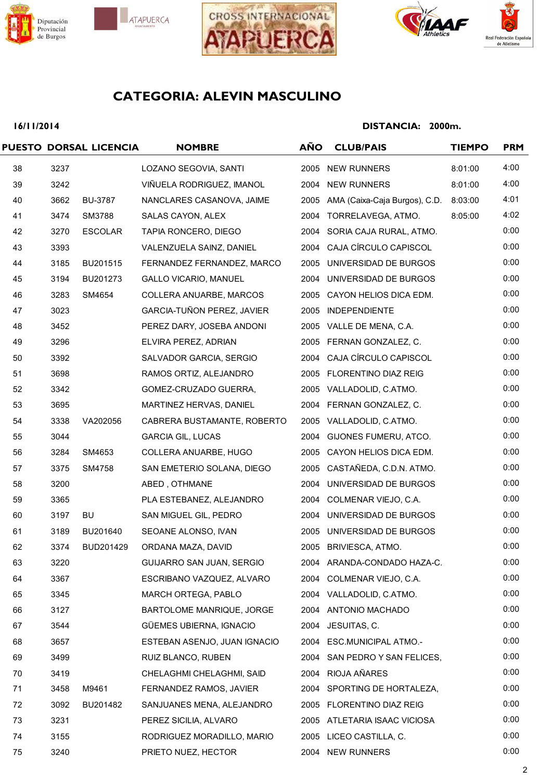







## **16/11/2014**

|    |      | PUESTO DORSAL LICENCIA | <b>NOMBRE</b>                    | <b>AÑO</b> | <b>CLUB/PAIS</b>                   | <b>TIEMPO</b> | <b>PRM</b> |
|----|------|------------------------|----------------------------------|------------|------------------------------------|---------------|------------|
| 38 | 3237 |                        | LOZANO SEGOVIA, SANTI            |            | 2005 NEW RUNNERS                   | 8:01:00       | 4:00       |
| 39 | 3242 |                        | VIÑUELA RODRIGUEZ, IMANOL        |            | 2004 NEW RUNNERS                   | 8:01:00       | 4:00       |
| 40 | 3662 | <b>BU-3787</b>         | NANCLARES CASANOVA, JAIME        |            | 2005 AMA (Caixa-Caja Burgos), C.D. | 8:03:00       | 4:01       |
| 41 | 3474 | SM3788                 | SALAS CAYON, ALEX                |            | 2004 TORRELAVEGA, ATMO.            | 8:05:00       | 4:02       |
| 42 | 3270 | <b>ESCOLAR</b>         | TAPIA RONCERO, DIEGO             |            | 2004 SORIA CAJA RURAL, ATMO.       |               | 0:00       |
| 43 | 3393 |                        | VALENZUELA SAINZ, DANIEL         |            | 2004 CAJA CÍRCULO CAPISCOL         |               | 0:00       |
| 44 | 3185 | BU201515               | FERNANDEZ FERNANDEZ, MARCO       |            | 2005 UNIVERSIDAD DE BURGOS         |               | 0:00       |
| 45 | 3194 | BU201273               | <b>GALLO VICARIO, MANUEL</b>     |            | 2004 UNIVERSIDAD DE BURGOS         |               | 0:00       |
| 46 | 3283 | SM4654                 | COLLERA ANUARBE, MARCOS          |            | 2005 CAYON HELIOS DICA EDM.        |               | 0:00       |
| 47 | 3023 |                        | GARCIA-TUÑON PEREZ, JAVIER       |            | 2005 INDEPENDIENTE                 |               | 0:00       |
| 48 | 3452 |                        | PEREZ DARY, JOSEBA ANDONI        |            | 2005 VALLE DE MENA, C.A.           |               | 0:00       |
| 49 | 3296 |                        | ELVIRA PEREZ, ADRIAN             |            | 2005 FERNAN GONZALEZ, C.           |               | 0:00       |
| 50 | 3392 |                        | SALVADOR GARCIA, SERGIO          |            | 2004 CAJA CÍRCULO CAPISCOL         |               | 0:00       |
| 51 | 3698 |                        | RAMOS ORTIZ, ALEJANDRO           |            | 2005 FLORENTINO DIAZ REIG          |               | 0:00       |
| 52 | 3342 |                        | GOMEZ-CRUZADO GUERRA,            |            | 2005 VALLADOLID, C.ATMO.           |               | 0:00       |
| 53 | 3695 |                        | MARTINEZ HERVAS, DANIEL          |            | 2004 FERNAN GONZALEZ, C.           |               | 0:00       |
| 54 | 3338 | VA202056               | CABRERA BUSTAMANTE, ROBERTO      |            | 2005 VALLADOLID, C.ATMO.           |               | 0:00       |
| 55 | 3044 |                        | <b>GARCIA GIL, LUCAS</b>         | 2004       | GIJONES FUMERU, ATCO.              |               | 0:00       |
| 56 | 3284 | SM4653                 | COLLERA ANUARBE, HUGO            |            | 2005 CAYON HELIOS DICA EDM.        |               | 0:00       |
| 57 | 3375 | SM4758                 | SAN EMETERIO SOLANA, DIEGO       |            | 2005 CASTAÑEDA, C.D.N. ATMO.       |               | 0:00       |
| 58 | 3200 |                        | ABED, OTHMANE                    |            | 2004 UNIVERSIDAD DE BURGOS         |               | 0:00       |
| 59 | 3365 |                        | PLA ESTEBANEZ, ALEJANDRO         |            | 2004 COLMENAR VIEJO, C.A.          |               | 0:00       |
| 60 | 3197 | BU                     | SAN MIGUEL GIL, PEDRO            |            | 2004 UNIVERSIDAD DE BURGOS         |               | 0:00       |
| 61 | 3189 | BU201640               | SEOANE ALONSO, IVAN              |            | 2005 UNIVERSIDAD DE BURGOS         |               | 0:00       |
| 62 | 3374 | BUD201429              | ORDANA MAZA, DAVID               |            | 2005 BRIVIESCA, ATMO.              |               | 0:00       |
| 63 | 3220 |                        | GUIJARRO SAN JUAN, SERGIO        |            | 2004 ARANDA-CONDADO HAZA-C.        |               | 0:00       |
| 64 | 3367 |                        | ESCRIBANO VAZQUEZ, ALVARO        |            | 2004 COLMENAR VIEJO, C.A.          |               | 0:00       |
| 65 | 3345 |                        | MARCH ORTEGA, PABLO              |            | 2004 VALLADOLID, C.ATMO.           |               | 0:00       |
| 66 | 3127 |                        | <b>BARTOLOME MANRIQUE, JORGE</b> |            | 2004 ANTONIO MACHADO               |               | 0:00       |
| 67 | 3544 |                        | GÜEMES UBIERNA, IGNACIO          |            | 2004 JESUITAS, C.                  |               | 0:00       |
| 68 | 3657 |                        | ESTEBAN ASENJO, JUAN IGNACIO     |            | 2004 ESC.MUNICIPAL ATMO.-          |               | 0:00       |
| 69 | 3499 |                        | RUIZ BLANCO, RUBEN               |            | 2004 SAN PEDRO Y SAN FELICES,      |               | 0:00       |
| 70 | 3419 |                        | CHELAGHMI CHELAGHMI, SAID        |            | 2004 RIOJA AÑARES                  |               | 0:00       |
| 71 | 3458 | M9461                  | FERNANDEZ RAMOS, JAVIER          |            | 2004 SPORTING DE HORTALEZA,        |               | 0:00       |
| 72 | 3092 | BU201482               | SANJUANES MENA, ALEJANDRO        |            | 2005 FLORENTINO DIAZ REIG          |               | 0:00       |
| 73 | 3231 |                        | PEREZ SICILIA, ALVARO            |            | 2005 ATLETARIA ISAAC VICIOSA       |               | 0:00       |
| 74 | 3155 |                        | RODRIGUEZ MORADILLO, MARIO       |            | 2005 LICEO CASTILLA, C.            |               | 0:00       |
| 75 | 3240 |                        | PRIETO NUEZ, HECTOR              |            | 2004 NEW RUNNERS                   |               | 0:00       |
|    |      |                        |                                  |            |                                    |               |            |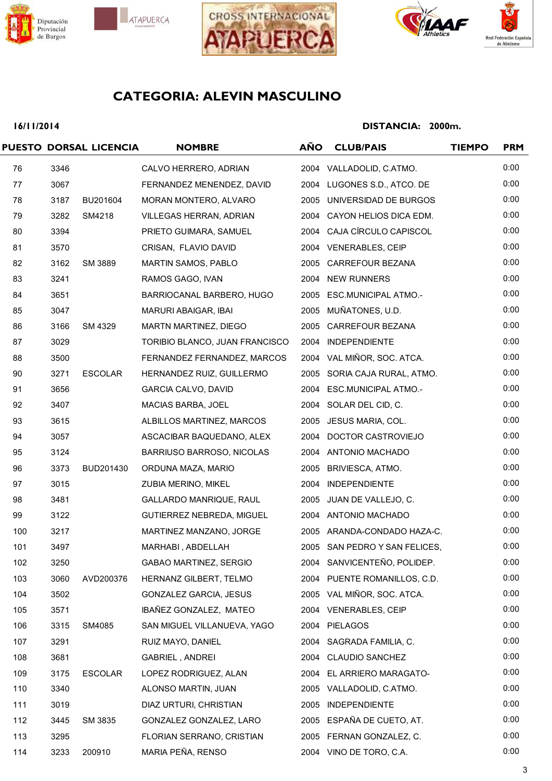







## **16/11/2014**

|     |      | PUESTO DORSAL LICENCIA | <b>NOMBRE</b>                  | AÑO | <b>CLUB/PAIS</b>              | <b>TIEMPO</b> | <b>PRM</b> |
|-----|------|------------------------|--------------------------------|-----|-------------------------------|---------------|------------|
| 76  | 3346 |                        | CALVO HERRERO, ADRIAN          |     | 2004 VALLADOLID, C.ATMO.      |               | 0:00       |
| 77  | 3067 |                        | FERNANDEZ MENENDEZ, DAVID      |     | 2004 LUGONES S.D., ATCO. DE   |               | 0:00       |
| 78  | 3187 | BU201604               | MORAN MONTERO, ALVARO          |     | 2005 UNIVERSIDAD DE BURGOS    |               | 0:00       |
| 79  | 3282 | SM4218                 | VILLEGAS HERRAN, ADRIAN        |     | 2004 CAYON HELIOS DICA EDM.   |               | 0:00       |
| 80  | 3394 |                        | PRIETO GUIMARA, SAMUEL         |     | 2004 CAJA CÍRCULO CAPISCOL    |               | 0:00       |
| 81  | 3570 |                        | CRISAN, FLAVIO DAVID           |     | 2004 VENERABLES, CEIP         |               | 0:00       |
| 82  | 3162 | SM 3889                | MARTIN SAMOS, PABLO            |     | 2005 CARREFOUR BEZANA         |               | 0:00       |
| 83  | 3241 |                        | RAMOS GAGO, IVAN               |     | 2004 NEW RUNNERS              |               | 0:00       |
| 84  | 3651 |                        | BARRIOCANAL BARBERO, HUGO      |     | 2005 ESC.MUNICIPAL ATMO.-     |               | 0:00       |
| 85  | 3047 |                        | MARURI ABAIGAR, IBAI           |     | 2005 MUÑATONES, U.D.          |               | 0:00       |
| 86  | 3166 | SM 4329                | MARTN MARTINEZ, DIEGO          |     | 2005 CARREFOUR BEZANA         |               | 0:00       |
| 87  | 3029 |                        | TORIBIO BLANCO, JUAN FRANCISCO |     | 2004 INDEPENDIENTE            |               | 0:00       |
| 88  | 3500 |                        | FERNANDEZ FERNANDEZ, MARCOS    |     | 2004 VAL MIÑOR, SOC. ATCA.    |               | 0:00       |
| 90  | 3271 | <b>ESCOLAR</b>         | HERNANDEZ RUIZ, GUILLERMO      |     | 2005 SORIA CAJA RURAL, ATMO.  |               | 0:00       |
| 91  | 3656 |                        | GARCIA CALVO, DAVID            |     | 2004 ESC.MUNICIPAL ATMO.-     |               | 0:00       |
| 92  | 3407 |                        | MACIAS BARBA, JOEL             |     | 2004 SOLAR DEL CID, C.        |               | 0:00       |
| 93  | 3615 |                        | ALBILLOS MARTINEZ, MARCOS      |     | 2005 JESUS MARIA, COL.        |               | 0:00       |
| 94  | 3057 |                        | ASCACIBAR BAQUEDANO, ALEX      |     | 2004 DOCTOR CASTROVIEJO       |               | 0:00       |
| 95  | 3124 |                        | BARRIUSO BARROSO, NICOLAS      |     | 2004 ANTONIO MACHADO          |               | 0:00       |
| 96  | 3373 | BUD201430              | ORDUNA MAZA, MARIO             |     | 2005 BRIVIESCA, ATMO.         |               | 0:00       |
| 97  | 3015 |                        | ZUBIA MERINO, MIKEL            |     | 2004 INDEPENDIENTE            |               | 0:00       |
| 98  | 3481 |                        | GALLARDO MANRIQUE, RAUL        |     | 2005 JUAN DE VALLEJO, C.      |               | 0:00       |
| 99  | 3122 |                        | GUTIERREZ NEBREDA, MIGUEL      |     | 2004 ANTONIO MACHADO          |               | 0:00       |
| 100 | 3217 |                        | MARTINEZ MANZANO, JORGE        |     | 2005 ARANDA-CONDADO HAZA-C.   |               | 0:00       |
| 101 | 3497 |                        | MARHABI, ABDELLAH              |     | 2005 SAN PEDRO Y SAN FELICES, |               | 0:00       |
| 102 | 3250 |                        | <b>GABAO MARTINEZ, SERGIO</b>  |     | 2004 SANVICENTEÑO, POLIDEP.   |               | 0:00       |
| 103 | 3060 | AVD200376              | HERNANZ GILBERT, TELMO         |     | 2004 PUENTE ROMANILLOS, C.D.  |               | 0:00       |
| 104 | 3502 |                        | GONZALEZ GARCIA, JESUS         |     | 2005 VAL MIÑOR, SOC. ATCA.    |               | 0:00       |
| 105 | 3571 |                        | IBAÑEZ GONZALEZ, MATEO         |     | 2004 VENERABLES, CEIP         |               | 0:00       |
| 106 | 3315 | SM4085                 | SAN MIGUEL VILLANUEVA, YAGO    |     | 2004 PIELAGOS                 |               | 0:00       |
| 107 | 3291 |                        | RUIZ MAYO, DANIEL              |     | 2004 SAGRADA FAMILIA, C.      |               | 0:00       |
| 108 | 3681 |                        | <b>GABRIEL, ANDREI</b>         |     | 2004 CLAUDIO SANCHEZ          |               | 0:00       |
| 109 | 3175 | <b>ESCOLAR</b>         | LOPEZ RODRIGUEZ, ALAN          |     | 2004 EL ARRIERO MARAGATO-     |               | 0:00       |
| 110 | 3340 |                        | ALONSO MARTIN, JUAN            |     | 2005 VALLADOLID, C.ATMO.      |               | 0:00       |
| 111 | 3019 |                        | DIAZ URTURI, CHRISTIAN         |     | 2005 INDEPENDIENTE            |               | 0:00       |
| 112 | 3445 | SM 3835                | GONZALEZ GONZALEZ, LARO        |     | 2005 ESPAÑA DE CUETO, AT.     |               | 0:00       |
| 113 | 3295 |                        | FLORIAN SERRANO, CRISTIAN      |     | 2005 FERNAN GONZALEZ, C.      |               | 0:00       |
| 114 | 3233 | 200910                 | MARIA PEÑA, RENSO              |     | 2004 VINO DE TORO, C.A.       |               | 0:00       |
|     |      |                        |                                |     |                               |               |            |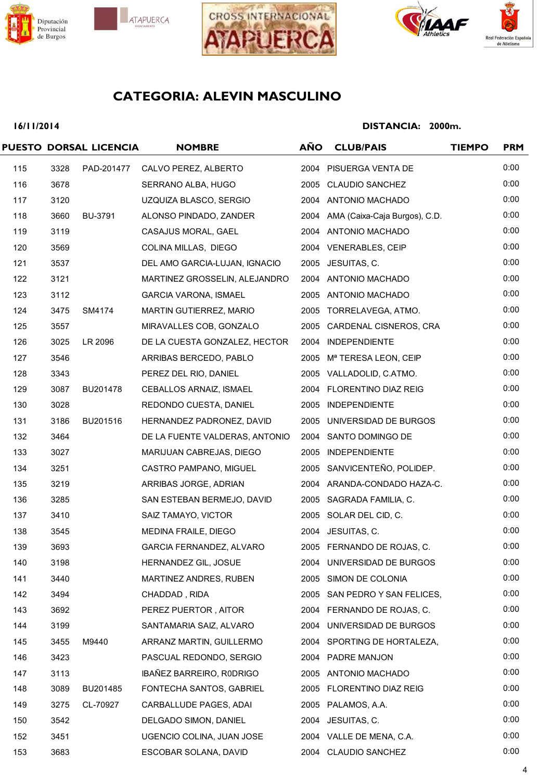







## **16/11/2014**

|     |      | PUESTO DORSAL LICENCIA | <b>NOMBRE</b>                  | <b>AÑO</b> | <b>CLUB/PAIS</b>                   | <b>TIEMPO</b> | <b>PRM</b> |
|-----|------|------------------------|--------------------------------|------------|------------------------------------|---------------|------------|
| 115 | 3328 | PAD-201477             | CALVO PEREZ, ALBERTO           |            | 2004 PISUERGA VENTA DE             |               | 0:00       |
| 116 | 3678 |                        | SERRANO ALBA, HUGO             |            | 2005 CLAUDIO SANCHEZ               |               | 0:00       |
| 117 | 3120 |                        | UZQUIZA BLASCO, SERGIO         |            | 2004 ANTONIO MACHADO               |               | 0:00       |
| 118 | 3660 | <b>BU-3791</b>         | ALONSO PINDADO, ZANDER         |            | 2004 AMA (Caixa-Caja Burgos), C.D. |               | 0:00       |
| 119 | 3119 |                        | CASAJUS MORAL, GAEL            |            | 2004 ANTONIO MACHADO               |               | 0:00       |
| 120 | 3569 |                        | COLINA MILLAS, DIEGO           |            | 2004 VENERABLES, CEIP              |               | 0:00       |
| 121 | 3537 |                        | DEL AMO GARCIA-LUJAN, IGNACIO  |            | 2005 JESUITAS, C.                  |               | 0:00       |
| 122 | 3121 |                        | MARTINEZ GROSSELIN, ALEJANDRO  |            | 2004 ANTONIO MACHADO               |               | 0:00       |
| 123 | 3112 |                        | <b>GARCIA VARONA, ISMAEL</b>   |            | 2005 ANTONIO MACHADO               |               | 0:00       |
| 124 | 3475 | SM4174                 | MARTIN GUTIERREZ, MARIO        |            | 2005 TORRELAVEGA, ATMO.            |               | 0:00       |
| 125 | 3557 |                        | MIRAVALLES COB, GONZALO        |            | 2005 CARDENAL CISNEROS, CRA        |               | 0:00       |
| 126 | 3025 | LR 2096                | DE LA CUESTA GONZALEZ, HECTOR  |            | 2004 INDEPENDIENTE                 |               | 0:00       |
| 127 | 3546 |                        | ARRIBAS BERCEDO, PABLO         |            | 2005 Mª TERESA LEON, CEIP          |               | 0:00       |
| 128 | 3343 |                        | PEREZ DEL RIO, DANIEL          |            | 2005 VALLADOLID, C.ATMO.           |               | 0:00       |
| 129 | 3087 | BU201478               | CEBALLOS ARNAIZ, ISMAEL        |            | 2004 FLORENTINO DIAZ REIG          |               | 0:00       |
| 130 | 3028 |                        | REDONDO CUESTA, DANIEL         |            | 2005 INDEPENDIENTE                 |               | 0:00       |
| 131 | 3186 | BU201516               | HERNANDEZ PADRONEZ, DAVID      |            | 2005 UNIVERSIDAD DE BURGOS         |               | 0:00       |
| 132 | 3464 |                        | DE LA FUENTE VALDERAS, ANTONIO |            | 2004 SANTO DOMINGO DE              |               | 0:00       |
| 133 | 3027 |                        | MARIJUAN CABREJAS, DIEGO       |            | 2005 INDEPENDIENTE                 |               | 0:00       |
| 134 | 3251 |                        | CASTRO PAMPANO, MIGUEL         |            | 2005 SANVICENTEÑO, POLIDEP.        |               | 0:00       |
| 135 | 3219 |                        | ARRIBAS JORGE, ADRIAN          |            | 2004 ARANDA-CONDADO HAZA-C.        |               | 0:00       |
| 136 | 3285 |                        | SAN ESTEBAN BERMEJO, DAVID     |            | 2005 SAGRADA FAMILIA, C.           |               | 0:00       |
| 137 | 3410 |                        | SAIZ TAMAYO, VICTOR            |            | 2005 SOLAR DEL CID, C.             |               | 0:00       |
| 138 | 3545 |                        | MEDINA FRAILE, DIEGO           |            | 2004 JESUITAS, C.                  |               | 0:00       |
| 139 | 3693 |                        | GARCIA FERNANDEZ, ALVARO       |            | 2005 FERNANDO DE ROJAS, C.         |               | 0:00       |
| 140 | 3198 |                        | HERNANDEZ GIL, JOSUE           |            | 2004 UNIVERSIDAD DE BURGOS         |               | 0:00       |
| 141 | 3440 |                        | MARTINEZ ANDRES, RUBEN         |            | 2005 SIMON DE COLONIA              |               | 0:00       |
| 142 | 3494 |                        | CHADDAD, RIDA                  |            | 2005 SAN PEDRO Y SAN FELICES,      |               | 0:00       |
| 143 | 3692 |                        | PEREZ PUERTOR, AITOR           |            | 2004 FERNANDO DE ROJAS, C.         |               | 0:00       |
| 144 | 3199 |                        | SANTAMARIA SAIZ, ALVARO        |            | 2004 UNIVERSIDAD DE BURGOS         |               | 0:00       |
| 145 | 3455 | M9440                  | ARRANZ MARTIN, GUILLERMO       |            | 2004 SPORTING DE HORTALEZA,        |               | 0:00       |
| 146 | 3423 |                        | PASCUAL REDONDO, SERGIO        |            | 2004 PADRE MANJON                  |               | 0:00       |
| 147 | 3113 |                        | IBAÑEZ BARREIRO, RODRIGO       |            | 2005 ANTONIO MACHADO               |               | 0:00       |
| 148 | 3089 | BU201485               | FONTECHA SANTOS, GABRIEL       |            | 2005 FLORENTINO DIAZ REIG          |               | 0:00       |
| 149 | 3275 | CL-70927               | CARBALLUDE PAGES, ADAI         |            | 2005 PALAMOS, A.A.                 |               | 0:00       |
| 150 | 3542 |                        | DELGADO SIMON, DANIEL          |            | 2004 JESUITAS, C.                  |               | 0:00       |
| 152 | 3451 |                        | UGENCIO COLINA, JUAN JOSE      |            | 2004 VALLE DE MENA, C.A.           |               | 0:00       |
| 153 | 3683 |                        | ESCOBAR SOLANA, DAVID          |            | 2004 CLAUDIO SANCHEZ               |               | 0:00       |
|     |      |                        |                                |            |                                    |               |            |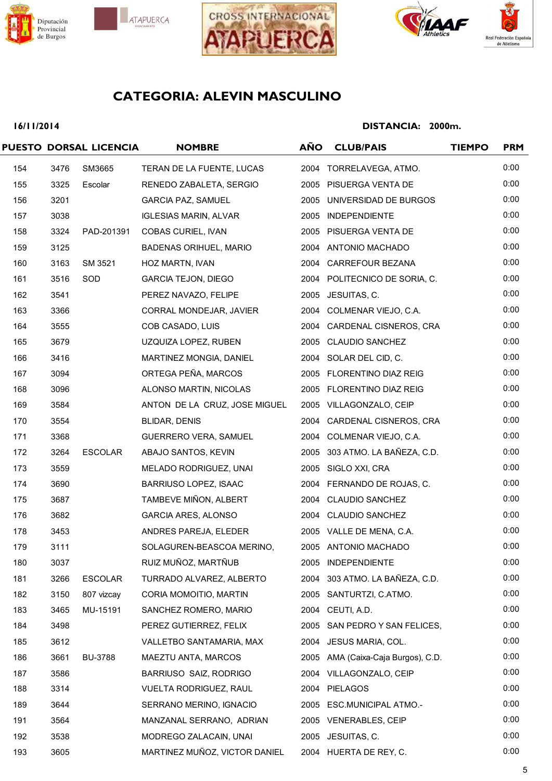







## **16/11/2014**

|     |      | PUESTO DORSAL LICENCIA | <b>NOMBRE</b>                 | <b>AÑO</b> | <b>CLUB/PAIS</b>                   | <b>TIEMPO</b> | <b>PRM</b> |
|-----|------|------------------------|-------------------------------|------------|------------------------------------|---------------|------------|
| 154 | 3476 | SM3665                 | TERAN DE LA FUENTE, LUCAS     |            | 2004 TORRELAVEGA, ATMO.            |               | 0:00       |
| 155 | 3325 | Escolar                | RENEDO ZABALETA, SERGIO       |            | 2005 PISUERGA VENTA DE             |               | 0:00       |
| 156 | 3201 |                        | <b>GARCIA PAZ, SAMUEL</b>     |            | 2005 UNIVERSIDAD DE BURGOS         |               | 0:00       |
| 157 | 3038 |                        | <b>IGLESIAS MARIN, ALVAR</b>  |            | 2005 INDEPENDIENTE                 |               | 0:00       |
| 158 | 3324 | PAD-201391             | COBAS CURIEL, IVAN            |            | 2005 PISUERGA VENTA DE             |               | 0:00       |
| 159 | 3125 |                        | <b>BADENAS ORIHUEL, MARIO</b> |            | 2004 ANTONIO MACHADO               |               | 0:00       |
| 160 | 3163 | SM 3521                | HOZ MARTN, IVAN               |            | 2004 CARREFOUR BEZANA              |               | 0:00       |
| 161 | 3516 | SOD                    | GARCIA TEJON, DIEGO           |            | 2004 POLITECNICO DE SORIA, C.      |               | 0:00       |
| 162 | 3541 |                        | PEREZ NAVAZO, FELIPE          |            | 2005 JESUITAS, C.                  |               | 0:00       |
| 163 | 3366 |                        | CORRAL MONDEJAR, JAVIER       |            | 2004 COLMENAR VIEJO, C.A.          |               | 0:00       |
| 164 | 3555 |                        | COB CASADO, LUIS              |            | 2004 CARDENAL CISNEROS, CRA        |               | 0:00       |
| 165 | 3679 |                        | UZQUIZA LOPEZ, RUBEN          |            | 2005 CLAUDIO SANCHEZ               |               | 0:00       |
| 166 | 3416 |                        | MARTINEZ MONGIA, DANIEL       |            | 2004 SOLAR DEL CID, C.             |               | 0:00       |
| 167 | 3094 |                        | ORTEGA PEÑA, MARCOS           |            | 2005 FLORENTINO DIAZ REIG          |               | 0:00       |
| 168 | 3096 |                        | ALONSO MARTIN, NICOLAS        |            | 2005 FLORENTINO DIAZ REIG          |               | 0:00       |
| 169 | 3584 |                        | ANTON DE LA CRUZ, JOSE MIGUEL |            | 2005 VILLAGONZALO, CEIP            |               | 0:00       |
| 170 | 3554 |                        | BLIDAR, DENIS                 |            | 2004 CARDENAL CISNEROS, CRA        |               | 0:00       |
| 171 | 3368 |                        | <b>GUERRERO VERA, SAMUEL</b>  |            | 2004 COLMENAR VIEJO, C.A.          |               | 0:00       |
| 172 | 3264 | <b>ESCOLAR</b>         | ABAJO SANTOS, KEVIN           |            | 2005 303 ATMO. LA BAÑEZA, C.D.     |               | 0:00       |
| 173 | 3559 |                        | MELADO RODRIGUEZ, UNAI        |            | 2005 SIGLO XXI, CRA                |               | 0:00       |
| 174 | 3690 |                        | BARRIUSO LOPEZ, ISAAC         |            | 2004 FERNANDO DE ROJAS, C.         |               | 0:00       |
| 175 | 3687 |                        | TAMBEVE MIÑON, ALBERT         |            | 2004 CLAUDIO SANCHEZ               |               | 0:00       |
| 176 | 3682 |                        | GARCIA ARES, ALONSO           |            | 2004 CLAUDIO SANCHEZ               |               | 0:00       |
| 178 | 3453 |                        | ANDRES PAREJA, ELEDER         |            | 2005 VALLE DE MENA, C.A.           |               | 0:00       |
| 179 | 3111 |                        | SOLAGUREN-BEASCOA MERINO,     |            | 2005 ANTONIO MACHADO               |               | 0:00       |
| 180 | 3037 |                        | RUIZ MUÑOZ, MARTÑUB           | 2005       | <b>INDEPENDIENTE</b>               |               | 0:00       |
| 181 | 3266 | <b>ESCOLAR</b>         | TURRADO ALVAREZ, ALBERTO      |            | 2004 303 ATMO. LA BAÑEZA, C.D.     |               | 0:00       |
| 182 | 3150 | 807 vizcay             | CORIA MOMOITIO, MARTIN        |            | 2005 SANTURTZI, C.ATMO.            |               | 0:00       |
| 183 | 3465 | MU-15191               | SANCHEZ ROMERO, MARIO         |            | 2004 CEUTI, A.D.                   |               | 0:00       |
| 184 | 3498 |                        | PEREZ GUTIERREZ, FELIX        |            | 2005 SAN PEDRO Y SAN FELICES,      |               | 0:00       |
| 185 | 3612 |                        | VALLETBO SANTAMARIA, MAX      | 2004       | JESUS MARIA, COL.                  |               | 0:00       |
| 186 | 3661 | <b>BU-3788</b>         | MAEZTU ANTA, MARCOS           |            | 2005 AMA (Caixa-Caja Burgos), C.D. |               | 0:00       |
| 187 | 3586 |                        | BARRIUSO SAIZ, RODRIGO        |            | 2004 VILLAGONZALO, CEIP            |               | 0:00       |
| 188 | 3314 |                        | VUELTA RODRIGUEZ, RAUL        | 2004       | PIELAGOS                           |               | 0:00       |
| 189 | 3644 |                        | SERRANO MERINO, IGNACIO       | 2005       | <b>ESC.MUNICIPAL ATMO.-</b>        |               | 0:00       |
| 191 | 3564 |                        | MANZANAL SERRANO, ADRIAN      |            | 2005 VENERABLES, CEIP              |               | 0:00       |
| 192 | 3538 |                        | MODREGO ZALACAIN, UNAI        |            | 2005 JESUITAS, C.                  |               | 0:00       |
| 193 | 3605 |                        | MARTINEZ MUÑOZ, VICTOR DANIEL |            | 2004 HUERTA DE REY, C.             |               | 0:00       |
|     |      |                        |                               |            |                                    |               |            |